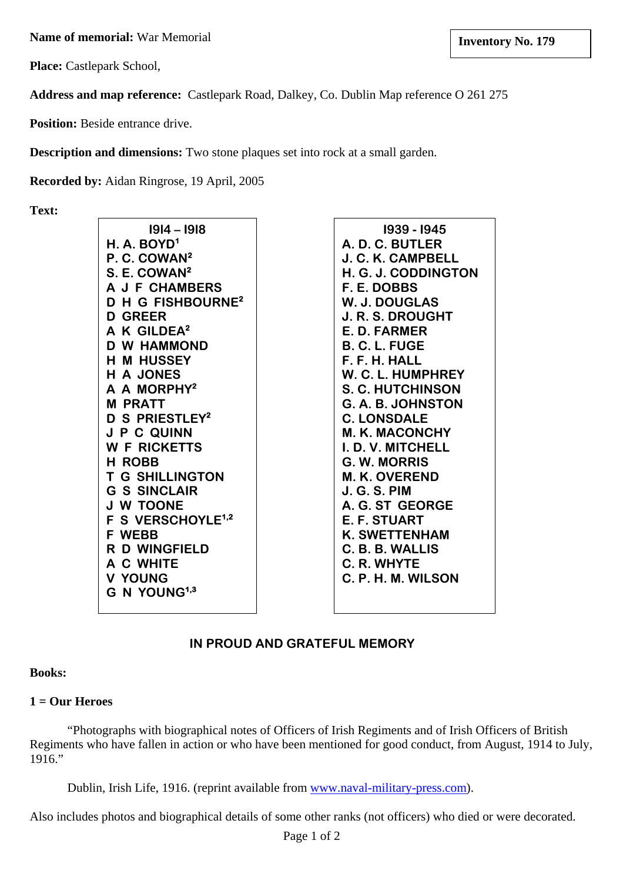**Name of memorial:** War Memorial **inventory No. 179 lands lands lands lands lands lands lands lands lands lands lands lands lands lands lands lands lands lands lands lands lands**

**Place:** Castlepark School,

**Address and map reference:** Castlepark Road, Dalkey, Co. Dublin Map reference O 261 275

**Position:** Beside entrance drive.

**Description and dimensions:** Two stone plaques set into rock at a small garden.

**Recorded by:** Aidan Ringrose, 19 April, 2005

**Text:**

| 1914 – 1918                   |
|-------------------------------|
| H. A. BOYD <sup>1</sup>       |
| P. C. COWAN <sup>2</sup>      |
| S. E. COWAN <sup>2</sup>      |
| <b>A J F CHAMBERS</b>         |
| D H G FISHBOURNE <del>'</del> |
| <b>D GREER</b>                |
| A K GILDEA <sup>2</sup>       |
| <b>D W HAMMOND</b>            |
| <b>H M HUSSEY</b>             |
| <b>H A JONES</b>              |
| A A MORPHY <sup>2</sup>       |
| <b>M PRATT</b>                |
| D S PRIESTLEY <sup>2</sup>    |
| <b>J P C QUINN</b>            |
| <b>W F RICKETTS</b>           |
| H ROBB                        |
| <b>T G SHILLINGTON</b>        |
| <b>G S SINCLAIR</b>           |
| <b>J W TOONE</b>              |
| F S VERSCHOYLE <sup>1,2</sup> |
| <b>F WEBB</b>                 |
| R D WINGFIELD                 |
| A C WHITE                     |
| <b>V YOUNG</b>                |
| G N YOUNG <sup>1,3</sup>      |
|                               |

**I939 - I945 A. D. C. BUTLER J. C. K. CAMPBELL H. G. J. CODDINGTON F. E. DOBBS W. J. DOUGLAS J. R. S. DROUGHT E. D. FARMER B. C. L. FUGE F. F. H. HALL W. C. L. HUMPHREY S. C. HUTCHINSON G. A. B. JOHNSTON C. LONSDALE M. K. MACONCHY I. D. V. MITCHELL G. W. MORRIS M. K. OVEREND J. G. S. PIM A. G. ST GEORGE E. F. STUART K. SWETTENHAM C. B. B. WALLIS C. R. WHYTE C. P. H. M. WILSON** 

## **IN PROUD AND GRATEFUL MEMORY**

**Books:** 

## **1 = Our Heroes**

"Photographs with biographical notes of Officers of Irish Regiments and of Irish Officers of British Regiments who have fallen in action or who have been mentioned for good conduct, from August, 1914 to July, 1916."

Dublin, Irish Life, 1916. (reprint available from [www.naval-military-press.com\)](http://www.naval-military-press.com/).

Also includes photos and biographical details of some other ranks (not officers) who died or were decorated.